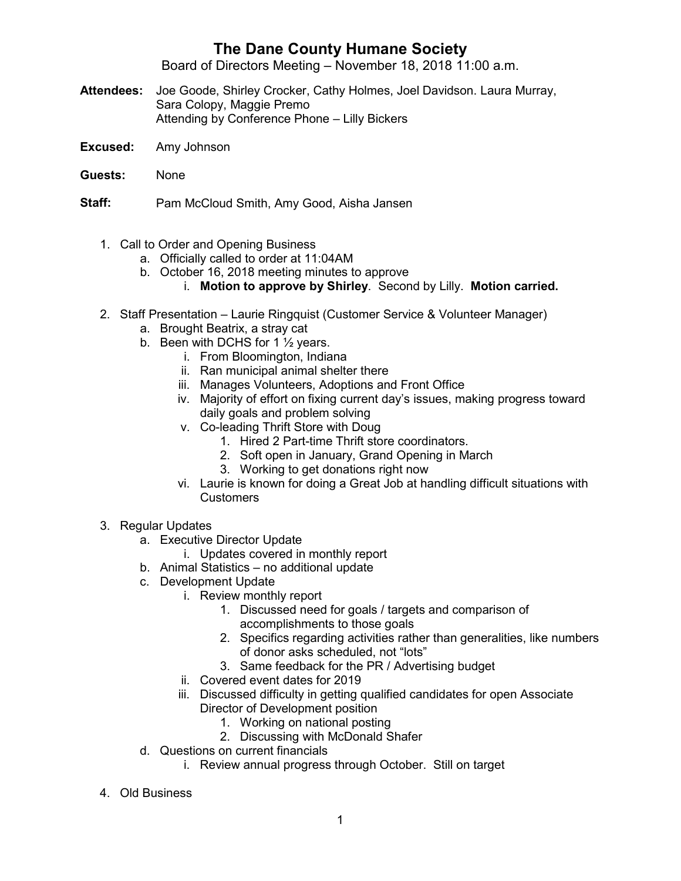## **The Dane County Humane Society**

Board of Directors Meeting – November 18, 2018 11:00 a.m.

- **Attendees:** Joe Goode, Shirley Crocker, Cathy Holmes, Joel Davidson. Laura Murray, Sara Colopy, Maggie Premo Attending by Conference Phone – Lilly Bickers
- **Excused:** Amy Johnson
- **Guests:** None

**Staff:** Pam McCloud Smith, Amy Good, Aisha Jansen

- 1. Call to Order and Opening Business
	- a. Officially called to order at 11:04AM
	- b. October 16, 2018 meeting minutes to approve
		- i. **Motion to approve by Shirley**. Second by Lilly. **Motion carried.**
- 2. Staff Presentation Laurie Ringquist (Customer Service & Volunteer Manager)
	- a. Brought Beatrix, a stray cat
	- b. Been with DCHS for 1 ½ years.
		- i. From Bloomington, Indiana
		- ii. Ran municipal animal shelter there
		- iii. Manages Volunteers, Adoptions and Front Office
		- iv. Majority of effort on fixing current day's issues, making progress toward daily goals and problem solving
		- v. Co-leading Thrift Store with Doug
			- 1. Hired 2 Part-time Thrift store coordinators.
			- 2. Soft open in January, Grand Opening in March
			- 3. Working to get donations right now
		- vi. Laurie is known for doing a Great Job at handling difficult situations with Customers
- 3. Regular Updates
	- a. Executive Director Update
		- i. Updates covered in monthly report
	- b. Animal Statistics no additional update
	- c. Development Update
		- i. Review monthly report
			- 1. Discussed need for goals / targets and comparison of accomplishments to those goals
			- 2. Specifics regarding activities rather than generalities, like numbers of donor asks scheduled, not "lots"
			- 3. Same feedback for the PR / Advertising budget
		- ii. Covered event dates for 2019
		- iii. Discussed difficulty in getting qualified candidates for open Associate Director of Development position
			- 1. Working on national posting
			- 2. Discussing with McDonald Shafer
	- d. Questions on current financials
		- i. Review annual progress through October. Still on target
- 4. Old Business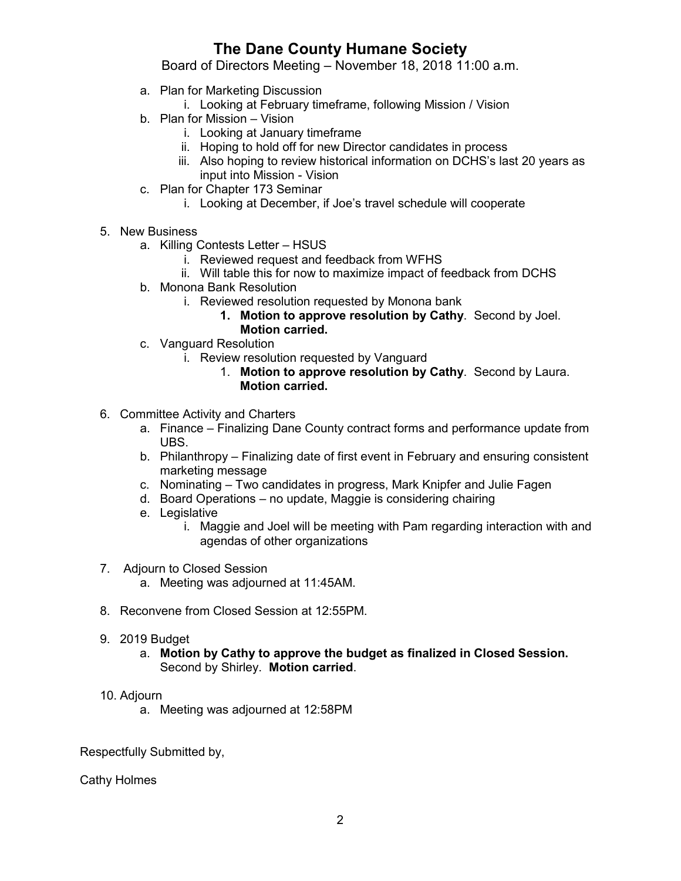## **The Dane County Humane Society**

Board of Directors Meeting – November 18, 2018 11:00 a.m.

- a. Plan for Marketing Discussion
	- i. Looking at February timeframe, following Mission / Vision
- b. Plan for Mission Vision
	- i. Looking at January timeframe
	- ii. Hoping to hold off for new Director candidates in process
	- iii. Also hoping to review historical information on DCHS's last 20 years as input into Mission - Vision
- c. Plan for Chapter 173 Seminar
	- i. Looking at December, if Joe's travel schedule will cooperate
- 5. New Business
	- a. Killing Contests Letter HSUS
		- i. Reviewed request and feedback from WFHS
		- ii. Will table this for now to maximize impact of feedback from DCHS
	- b. Monona Bank Resolution
		- i. Reviewed resolution requested by Monona bank
			- **1. Motion to approve resolution by Cathy**. Second by Joel.
				- **Motion carried.**
	- c. Vanguard Resolution
		- i. Review resolution requested by Vanguard
			- 1. **Motion to approve resolution by Cathy**. Second by Laura. **Motion carried.**
- 6. Committee Activity and Charters
	- a. Finance Finalizing Dane County contract forms and performance update from UBS.
	- b. Philanthropy Finalizing date of first event in February and ensuring consistent marketing message
	- c. Nominating Two candidates in progress, Mark Knipfer and Julie Fagen
	- d. Board Operations no update, Maggie is considering chairing
	- e. Legislative
		- i. Maggie and Joel will be meeting with Pam regarding interaction with and agendas of other organizations
- 7. Adjourn to Closed Session
	- a. Meeting was adjourned at 11:45AM.
- 8. Reconvene from Closed Session at 12:55PM.
- 9. 2019 Budget
	- a. **Motion by Cathy to approve the budget as finalized in Closed Session.** Second by Shirley. **Motion carried**.
- 10. Adjourn
	- a. Meeting was adjourned at 12:58PM

Respectfully Submitted by,

Cathy Holmes